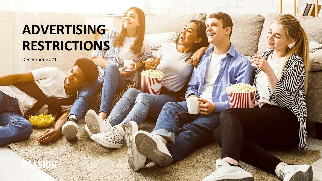# **ADVERTISING RESTRICTIONS**

December 2021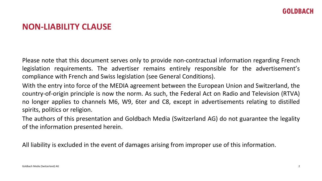### **NON-LIABILITY CLAUSE**

Please note that this document serves only to provide non-contractual information regarding French legislation requirements. The advertiser remains entirely responsible for the advertisement's compliance with French and Swiss legislation (see General Conditions).

With the entry into force of the MEDIA agreement between the European Union and Switzerland, the country-of-origin principle is now the norm. As such, the Federal Act on Radio and Television (RTVA) no longer applies to channels M6, W9, 6ter and C8, except in advertisements relating to distilled spirits, politics or religion.

The authors of this presentation and Goldbach Media (Switzerland AG) do not guarantee the legality of the information presented herein.

All liability is excluded in the event of damages arising from improper use of this information.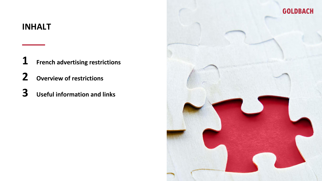## **INHALT**

**French advertising restrictions** 

- **Overview of restrictions**
- **Useful information and links**

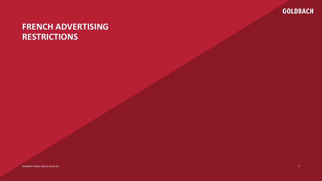

# **FRENCH ADVERTISING RESTRICTIONS**

Goldbach Media (Switzerland) AG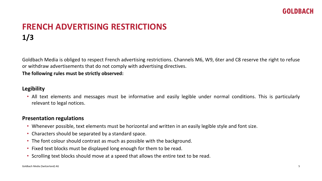# **FRENCH ADVERTISING RESTRICTIONS 1/3**

Goldbach Media is obliged to respect French advertising restrictions. Channels M6, W9, 6ter and C8 reserve the right to refuse or withdraw advertisements that do not comply with advertising directives.

**The following rules must be strictly observed:**

#### **Legibility**

• All text elements and messages must be informative and easily legible under normal conditions. This is particularly relevant to legal notices.

#### **Presentation regulations**

- Whenever possible, text elements must be horizontal and written in an easily legible style and font size.
- Characters should be separated by a standard space.
- The font colour should contrast as much as possible with the background.
- Fixed text blocks must be displayed long enough for them to be read.
- Scrolling text blocks should move at a speed that allows the entire text to be read.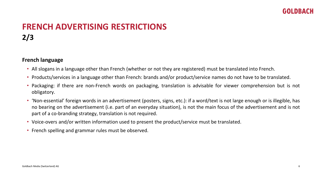# **FRENCH ADVERTISING RESTRICTIONS 2/3**

#### **French language**

- All slogans in a language other than French (whether or not they are registered) must be translated into French.
- Products/services in a language other than French: brands and/or product/service names do not have to be translated.
- Packaging: if there are non-French words on packaging, translation is advisable for viewer comprehension but is not obligatory.
- 'Non-essential' foreign words in an advertisement (posters, signs, etc.): if a word/text is not large enough or is illegible, has no bearing on the advertisement (i.e. part of an everyday situation), is not the main focus of the advertisement and is not part of a co-branding strategy, translation is not required.
- Voice-overs and/or written information used to present the product/service must be translated.
- French spelling and grammar rules must be observed.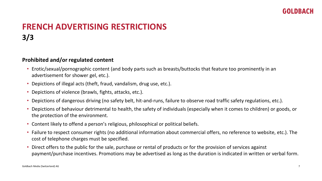# **FRENCH ADVERTISING RESTRICTIONS 3/3**

#### **Prohibited and/or regulated content**

- Erotic/sexual/pornographic content (and body parts such as breasts/buttocks that feature too prominently in an advertisement for shower gel, etc.).
- Depictions of illegal acts (theft, fraud, vandalism, drug use, etc.).
- Depictions of violence (brawls, fights, attacks, etc.).
- Depictions of dangerous driving (no safety belt, hit-and-runs, failure to observe road traffic safety regulations, etc.).
- Depictions of behaviour detrimental to health, the safety of individuals (especially when it comes to children) or goods, or the protection of the environment.
- Content likely to offend a person's religious, philosophical or political beliefs.
- Failure to respect consumer rights (no additional information about commercial offers, no reference to website, etc.). The cost of telephone charges must be specified.
- Direct offers to the public for the sale, purchase or rental of products or for the provision of services against payment/purchase incentives. Promotions may be advertised as long as the duration is indicated in written or verbal form.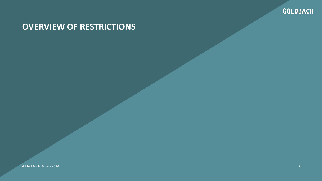

# **OVERVIEW OF RESTRICTIONS**

Goldbach Media (Switzerland) AG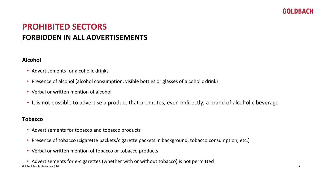# **PROHIBITED SECTORS FORBIDDEN IN ALL ADVERTISEMENTS**

#### **Alcohol**

- Advertisements for alcoholic drinks
- Presence of alcohol (alcohol consumption, visible bottles or glasses of alcoholic drink)
- Verbal or written mention of alcohol
- It is not possible to advertise a product that promotes, even indirectly, a brand of alcoholic beverage

#### **Tobacco**

- Advertisements for tobacco and tobacco products
- Presence of tobacco (cigarette packets/cigarette packets in background, tobacco consumption, etc.)
- Verbal or written mention of tobacco or tobacco products
- Goldbach Media (Switzerland) AG • Advertisements for e-cigarettes (whether with or without tobacco) is not permitted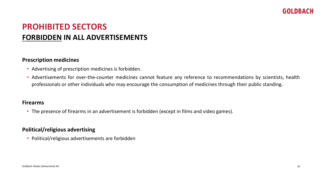# **PROHIBITED SECTORS FORBIDDEN IN ALL ADVERTISEMENTS**

#### **Prescription medicines**

- Advertising of prescription medicines is forbidden.
- Advertisements for over-the-counter medicines cannot feature any reference to recommendations by scientists, health professionals or other individuals who may encourage the consumption of medicines through their public standing.

#### **Firearms**

• The presence of firearms in an advertisement is forbidden (except in films and video games).

#### **Political/religious advertising**

• Political/religious advertisements are forbidden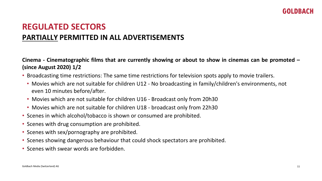Cinema - Cinematographic films that are currently showing or about to show in cinemas can be promoted  $-$ **(since August 2020) 1/2**

- Broadcasting time restrictions: The same time restrictions for television spots apply to movie trailers.
	- Movies which are not suitable for children U12 No broadcasting in family/children's environments, not even 10 minutes before/after.
	- Movies which are not suitable for children U16 Broadcast only from 20h30
	- Movies which are not suitable for children U18 broadcast only from 22h30
- Scenes in which alcohol/tobacco is shown or consumed are prohibited.
- Scenes with drug consumption are prohibited.
- Scenes with sex/pornography are prohibited.
- Scenes showing dangerous behaviour that could shock spectators are prohibited.
- Scenes with swear words are forbidden.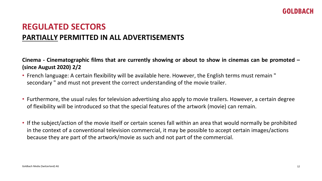Cinema - Cinematographic films that are currently showing or about to show in cinemas can be promoted  $-$ **(since August 2020) 2/2**

- French language: A certain flexibility will be available here. However, the English terms must remain " secondary " and must not prevent the correct understanding of the movie trailer.
- Furthermore, the usual rules for television advertising also apply to movie trailers. However, a certain degree of flexibility will be introduced so that the special features of the artwork (movie) can remain.
- If the subject/action of the movie itself or certain scenes fall within an area that would normally be prohibited in the context of a conventional television commercial, it may be possible to accept certain images/actions because they are part of the artwork/movie as such and not part of the commercial.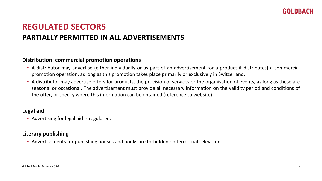#### **Distribution: commercial promotion operations**

- A distributor may advertise (either individually or as part of an advertisement for a product it distributes) a commercial promotion operation, as long as this promotion takes place primarily or exclusively in Switzerland.
- A distributor may advertise offers for products, the provision of services or the organisation of events, as long as these are seasonal or occasional. The advertisement must provide all necessary information on the validity period and conditions of the offer, or specify where this information can be obtained (reference to website).

#### **Legal aid**

• Advertising for legal aid is regulated.

#### **Literary publishing**

• Advertisements for publishing houses and books are forbidden on terrestrial television.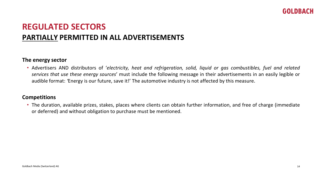#### **The energy sector**

• Advertisers AND distributors of '*electricity, heat and refrigeration, solid, liquid or gas combustibles, fuel and related services that use these energy sources*' must include the following message in their advertisements in an easily legible or audible format: *'*Energy is our future, save it!' The automotive industry is not affected by this measure.

#### **Competitions**

• The duration, available prizes, stakes, places where clients can obtain further information, and free of charge (immediate or deferred) and without obligation to purchase must be mentioned.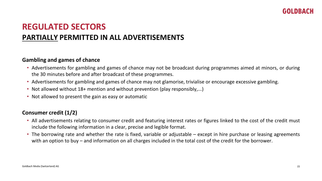#### **Gambling and games of chance**

- Advertisements for gambling and games of chance may not be broadcast during programmes aimed at minors, or during the 30 minutes before and after broadcast of these programmes.
- Advertisements for gambling and games of chance may not glamorise, trivialise or encourage excessive gambling.
- Not allowed without 18+ mention and without prevention (play responsibly,...)
- Not allowed to present the gain as easy or automatic

#### **Consumer credit (1/2)**

- All advertisements relating to consumer credit and featuring interest rates or figures linked to the cost of the credit must include the following information in a clear, precise and legible format.
- The borrowing rate and whether the rate is fixed, variable or adjustable except in hire purchase or leasing agreements with an option to buy – and information on all charges included in the total cost of the credit for the borrower.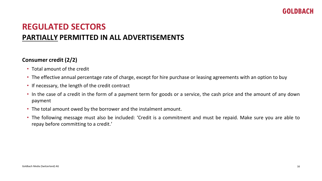#### **Consumer credit (2/2)**

- Total amount of the credit
- The effective annual percentage rate of charge, except for hire purchase or leasing agreements with an option to buy
- If necessary, the length of the credit contract
- In the case of a credit in the form of a payment term for goods or a service, the cash price and the amount of any down payment
- The total amount owed by the borrower and the instalment amount.
- The following message must also be included: 'Credit is a commitment and must be repaid. Make sure you are able to repay before committing to a credit.'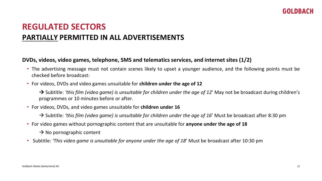#### **DVDs, videos, video games, telephone, SMS and telematics services, and internet sites (1/2)**

- The advertising message must not contain scenes likely to upset a younger audience, and the following points must be checked before broadcast:
- For videos, DVDs and video games unsuitable for **children under the age of 12**

→ Subtitle: *'this film (video game) is unsuitable for children under the age of 12*' May not be broadcast during children's programmes or 10 minutes before or after.

- For videos, DVDs, and video games unsuitable for **children under 16**
	- → Subtitle: *'this film (video game) is unsuitable for children under the age of 16*' Must be broadcast after 8:30 pm
- For video games without pornographic content that are unsuitable for **anyone under the age of 18**
	- $\rightarrow$  No pornographic content
- Subtitle: *'This video game is unsuitable for anyone under the age of 18*' Must be broadcast after 10:30 pm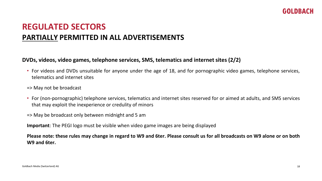#### **DVDs, videos, video games, telephone services, SMS, telematics and internet sites (2/2)**

- For videos and DVDs unsuitable for anyone under the age of 18, and for pornographic video games, telephone services, telematics and internet sites
- => May not be broadcast
- For (non-pornographic) telephone services, telematics and internet sites reserved for or aimed at adults, and SMS services that may exploit the inexperience or credulity of minors
- => May be broadcast only between midnight and 5 am

**Important**: The PEGI logo must be visible when video game images are being displayed

Please note: these rules may change in regard to W9 and 6ter. Please consult us for all broadcasts on W9 alone or on both **W9 and 6ter.**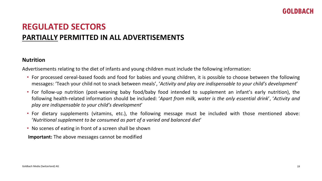#### **Nutrition**

Advertisements relating to the diet of infants and young children must include the following information:

- For processed cereal-based foods and food for babies and young children, it is possible to choose between the following messages: 'Teach your child not to snack between meals', '*Activity and play are indispensable to your child's development*'
- For follow-up nutrition (post-weaning baby food/baby food intended to supplement an infant's early nutrition), the following health-related information should be included: '*Apart from milk, water is the only essential drink*', '*Activity and play are indispensable to your child's development*'
- For dietary supplements (vitamins, etc.), the following message must be included with those mentioned above: '*Nutritional supplement to be consumed as part of a varied and balanced diet*'
- No scenes of eating in front of a screen shall be shown

**Important:** The above messages cannot be modified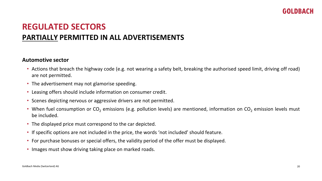#### **Automotive sector**

- Actions that breach the highway code (e.g. not wearing a safety belt, breaking the authorised speed limit, driving off road) are not permitted.
- The advertisement may not glamorise speeding.
- Leasing offers should include information on consumer credit.
- Scenes depicting nervous or aggressive drivers are not permitted.
- When fuel consumption or  $CO<sub>2</sub>$  emissions (e.g. pollution levels) are mentioned, information on  $CO<sub>2</sub>$  emission levels must be included.
- The displayed price must correspond to the car depicted.
- If specific options are not included in the price, the words 'not included' should feature.
- For purchase bonuses or special offers, the validity period of the offer must be displayed.
- Images must show driving taking place on marked roads.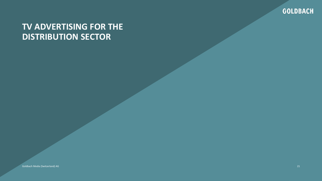

# **TV ADVERTISING FOR THE DISTRIBUTION SECTOR**

Goldbach Media (Switzerland) AG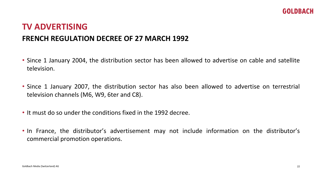# **TV ADVERTISING FRENCH REGULATION DECREE OF 27 MARCH 1992**

- Since 1 January 2004, the distribution sector has been allowed to advertise on cable and satellite television.
- Since 1 January 2007, the distribution sector has also been allowed to advertise on terrestrial television channels (M6, W9, 6ter and C8).
- It must do so under the conditions fixed in the 1992 decree.
- In France, the distributor's advertisement may not include information on the distributor's commercial promotion operations.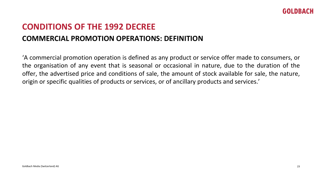# **CONDITIONS OF THE 1992 DECREE COMMERCIAL PROMOTION OPERATIONS: DEFINITION**

'A commercial promotion operation is defined as any product or service offer made to consumers, or the organisation of any event that is seasonal or occasional in nature, due to the duration of the offer, the advertised price and conditions of sale, the amount of stock available for sale, the nature, origin or specific qualities of products or services, or of ancillary products and services.'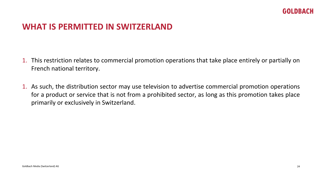### **WHAT IS PERMITTED IN SWITZERLAND**

- 1. This restriction relates to commercial promotion operations that take place entirely or partially on French national territory.
- 1. As such, the distribution sector may use television to advertise commercial promotion operations for a product or service that is not from a prohibited sector, as long as this promotion takes place primarily or exclusively in Switzerland.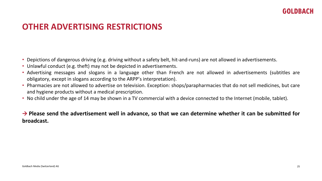### **OTHER ADVERTISING RESTRICTIONS**

- Depictions of dangerous driving (e.g. driving without a safety belt, hit-and-runs) are not allowed in advertisements.
- Unlawful conduct (e.g. theft) may not be depicted in advertisements.
- Advertising messages and slogans in a language other than French are not allowed in advertisements (subtitles are obligatory, except in slogans according to the ARPP's interpretation).
- Pharmacies are not allowed to advertise on television. Exception: shops/parapharmacies that do not sell medicines, but care and hygiene products without a medical prescription.
- No child under the age of 14 may be shown in a TV commercial with a device connected to the Internet (mobile, tablet).

#### $\rightarrow$  Please send the advertisement well in advance, so that we can determine whether it can be submitted for **broadcast.**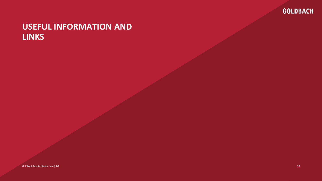

# **USEFUL INFORMATION AND LINKS**

Goldbach Media (Switzerland) AG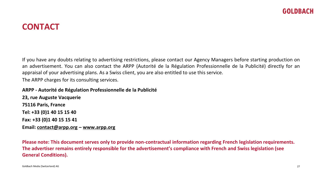# **CONTACT**

If you have any doubts relating to advertising restrictions, please contact our Agency Managers before starting production on an advertisement. You can also contact the ARPP (Autorité de la Régulation Professionnelle de la Publicité) directly for an appraisal of your advertising plans. As a Swiss client, you are also entitled to use this service.

The ARPP charges for its consulting services.

**ARPP - Autorité de Régulation Professionnelle de la Publicité 23, rue Auguste Vacquerie 75116 Paris, France Tel: +33 (0)1 40 15 15 40 Fax: +33 (0)1 40 15 15 41 Email: [contact@arpp.org](mailto:contact@arpp.org) – [www.arpp.org](http://www.arpp.org/)**

**Please note: This document serves only to provide non-contractual information regarding French legislation requirements. The advertiser remains entirely responsible for the advertisement's compliance with French and Swiss legislation (see General Conditions).**